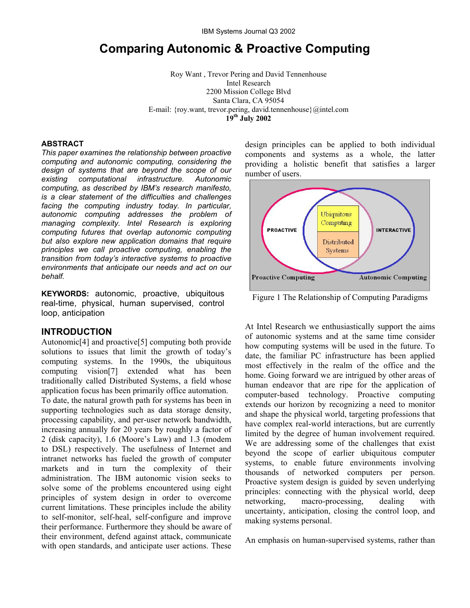# **Comparing Autonomic & Proactive Computing**

Roy Want , Trevor Pering and David Tennenhouse Intel Research 2200 Mission College Blvd Santa Clara, CA 95054 E-mail: {roy.want, trevor.pering, david.tennenhouse}@intel.com **19th July 2002** 

#### **ABSTRACT**

*This paper examines the relationship between proactive computing and autonomic computing, considering the design of systems that are beyond the scope of our existing computational infrastructure. Autonomic computing, as described by IBM's research manifesto, is a clear statement of the difficulties and challenges facing the computing industry today. In particular, autonomic computing addresses the problem of managing complexity. Intel Research is exploring computing futures that overlap autonomic computing but also explore new application domains that require principles we call proactive computing, enabling the transition from today's interactive systems to proactive environments that anticipate our needs and act on our behalf.* 

**KEYWORDS:** autonomic, proactive, ubiquitous real-time, physical, human supervised, control loop, anticipation

#### **INTRODUCTION**

Autonomic[4] and proactive[5] computing both provide solutions to issues that limit the growth of today's computing systems. In the 1990s, the ubiquitous computing vision[7] extended what has been traditionally called Distributed Systems, a field whose application focus has been primarily office automation.

To date, the natural growth path for systems has been in supporting technologies such as data storage density, processing capability, and per-user network bandwidth, increasing annually for 20 years by roughly a factor of 2 (disk capacity), 1.6 (Moore's Law) and 1.3 (modem to DSL) respectively. The usefulness of Internet and intranet networks has fueled the growth of computer markets and in turn the complexity of their administration. The IBM autonomic vision seeks to solve some of the problems encountered using eight principles of system design in order to overcome current limitations. These principles include the ability to self-monitor, self-heal, self-configure and improve their performance. Furthermore they should be aware of their environment, defend against attack, communicate with open standards, and anticipate user actions. These design principles can be applied to both individual components and systems as a whole, the latter providing a holistic benefit that satisfies a larger number of users.



Figure 1 The Relationship of Computing Paradigms

At Intel Research we enthusiastically support the aims of autonomic systems and at the same time consider how computing systems will be used in the future. To date, the familiar PC infrastructure has been applied most effectively in the realm of the office and the home. Going forward we are intrigued by other areas of human endeavor that are ripe for the application of computer-based technology. Proactive computing extends our horizon by recognizing a need to monitor and shape the physical world, targeting professions that have complex real-world interactions, but are currently limited by the degree of human involvement required. We are addressing some of the challenges that exist beyond the scope of earlier ubiquitous computer systems, to enable future environments involving thousands of networked computers per person. Proactive system design is guided by seven underlying principles: connecting with the physical world, deep networking, macro-processing, dealing with uncertainty, anticipation, closing the control loop, and making systems personal.

An emphasis on human-supervised systems, rather than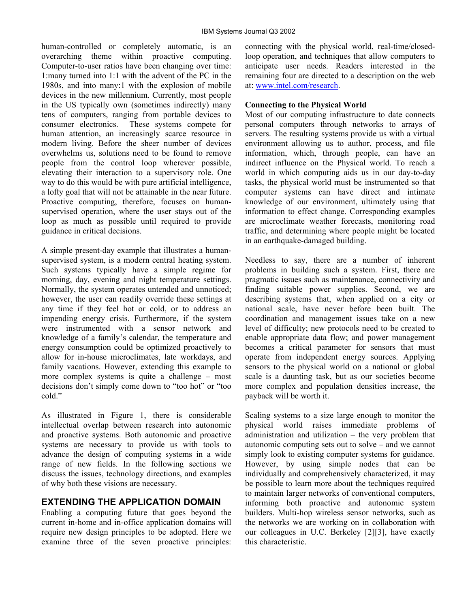human-controlled or completely automatic, is an overarching theme within proactive computing. Computer-to-user ratios have been changing over time: 1:many turned into 1:1 with the advent of the PC in the 1980s, and into many:1 with the explosion of mobile devices in the new millennium. Currently, most people in the US typically own (sometimes indirectly) many tens of computers, ranging from portable devices to consumer electronics. These systems compete for human attention, an increasingly scarce resource in modern living. Before the sheer number of devices overwhelms us, solutions need to be found to remove people from the control loop wherever possible, elevating their interaction to a supervisory role. One way to do this would be with pure artificial intelligence, a lofty goal that will not be attainable in the near future. Proactive computing, therefore, focuses on humansupervised operation, where the user stays out of the loop as much as possible until required to provide guidance in critical decisions.

A simple present-day example that illustrates a humansupervised system, is a modern central heating system. Such systems typically have a simple regime for morning, day, evening and night temperature settings. Normally, the system operates untended and unnoticed; however, the user can readily override these settings at any time if they feel hot or cold, or to address an impending energy crisis. Furthermore, if the system were instrumented with a sensor network and knowledge of a family's calendar, the temperature and energy consumption could be optimized proactively to allow for in-house microclimates, late workdays, and family vacations. However, extending this example to more complex systems is quite a challenge – most decisions don't simply come down to "too hot" or "too cold."

As illustrated in Figure 1, there is considerable intellectual overlap between research into autonomic and proactive systems. Both autonomic and proactive systems are necessary to provide us with tools to advance the design of computing systems in a wide range of new fields. In the following sections we discuss the issues, technology directions, and examples of why both these visions are necessary.

# **EXTENDING THE APPLICATION DOMAIN**

Enabling a computing future that goes beyond the current in-home and in-office application domains will require new design principles to be adopted. Here we examine three of the seven proactive principles: connecting with the physical world, real-time/closedloop operation, and techniques that allow computers to anticipate user needs. Readers interested in the remaining four are directed to a description on the web at: [www.intel.com/research.](http://www.intel.com/research)

### **Connecting to the Physical World**

Most of our computing infrastructure to date connects personal computers through networks to arrays of servers. The resulting systems provide us with a virtual environment allowing us to author, process, and file information, which, through people, can have an indirect influence on the Physical world. To reach a world in which computing aids us in our day-to-day tasks, the physical world must be instrumented so that computer systems can have direct and intimate knowledge of our environment, ultimately using that information to effect change. Corresponding examples are microclimate weather forecasts, monitoring road traffic, and determining where people might be located in an earthquake-damaged building.

Needless to say, there are a number of inherent problems in building such a system. First, there are pragmatic issues such as maintenance, connectivity and finding suitable power supplies. Second, we are describing systems that, when applied on a city or national scale, have never before been built. The coordination and management issues take on a new level of difficulty; new protocols need to be created to enable appropriate data flow; and power management becomes a critical parameter for sensors that must operate from independent energy sources. Applying sensors to the physical world on a national or global scale is a daunting task, but as our societies become more complex and population densities increase, the payback will be worth it.

Scaling systems to a size large enough to monitor the physical world raises immediate problems of administration and utilization – the very problem that autonomic computing sets out to solve – and we cannot simply look to existing computer systems for guidance. However, by using simple nodes that can be individually and comprehensively characterized, it may be possible to learn more about the techniques required to maintain larger networks of conventional computers, informing both proactive and autonomic system builders. Multi-hop wireless sensor networks, such as the networks we are working on in collaboration with our colleagues in U.C. Berkeley [2][3], have exactly this characteristic.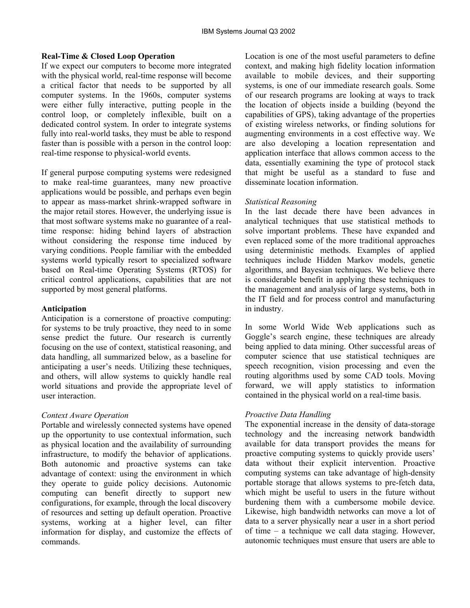## **Real-Time & Closed Loop Operation**

If we expect our computers to become more integrated with the physical world, real-time response will become a critical factor that needs to be supported by all computer systems. In the 1960s, computer systems were either fully interactive, putting people in the control loop, or completely inflexible, built on a dedicated control system. In order to integrate systems fully into real-world tasks, they must be able to respond faster than is possible with a person in the control loop: real-time response to physical-world events.

If general purpose computing systems were redesigned to make real-time guarantees, many new proactive applications would be possible, and perhaps even begin to appear as mass-market shrink-wrapped software in the major retail stores. However, the underlying issue is that most software systems make no guarantee of a realtime response: hiding behind layers of abstraction without considering the response time induced by varying conditions. People familiar with the embedded systems world typically resort to specialized software based on Real-time Operating Systems (RTOS) for critical control applications, capabilities that are not supported by most general platforms.

### **Anticipation**

Anticipation is a cornerstone of proactive computing: for systems to be truly proactive, they need to in some sense predict the future. Our research is currently focusing on the use of context, statistical reasoning, and data handling, all summarized below, as a baseline for anticipating a user's needs. Utilizing these techniques, and others, will allow systems to quickly handle real world situations and provide the appropriate level of user interaction.

# *Context Aware Operation*

Portable and wirelessly connected systems have opened up the opportunity to use contextual information, such as physical location and the availability of surrounding infrastructure, to modify the behavior of applications. Both autonomic and proactive systems can take advantage of context: using the environment in which they operate to guide policy decisions. Autonomic computing can benefit directly to support new configurations, for example, through the local discovery of resources and setting up default operation. Proactive systems, working at a higher level, can filter information for display, and customize the effects of commands.

Location is one of the most useful parameters to define context, and making high fidelity location information available to mobile devices, and their supporting systems, is one of our immediate research goals. Some of our research programs are looking at ways to track the location of objects inside a building (beyond the capabilities of GPS), taking advantage of the properties of existing wireless networks, or finding solutions for augmenting environments in a cost effective way. We are also developing a location representation and application interface that allows common access to the data, essentially examining the type of protocol stack that might be useful as a standard to fuse and disseminate location information.

## *Statistical Reasoning*

In the last decade there have been advances in analytical techniques that use statistical methods to solve important problems. These have expanded and even replaced some of the more traditional approaches using deterministic methods. Examples of applied techniques include Hidden Markov models, genetic algorithms, and Bayesian techniques. We believe there is considerable benefit in applying these techniques to the management and analysis of large systems, both in the IT field and for process control and manufacturing in industry.

In some World Wide Web applications such as Goggle's search engine, these techniques are already being applied to data mining. Other successful areas of computer science that use statistical techniques are speech recognition, vision processing and even the routing algorithms used by some CAD tools. Moving forward, we will apply statistics to information contained in the physical world on a real-time basis.

# *Proactive Data Handling*

The exponential increase in the density of data-storage technology and the increasing network bandwidth available for data transport provides the means for proactive computing systems to quickly provide users' data without their explicit intervention. Proactive computing systems can take advantage of high-density portable storage that allows systems to pre-fetch data, which might be useful to users in the future without burdening them with a cumbersome mobile device. Likewise, high bandwidth networks can move a lot of data to a server physically near a user in a short period of time – a technique we call data staging. However, autonomic techniques must ensure that users are able to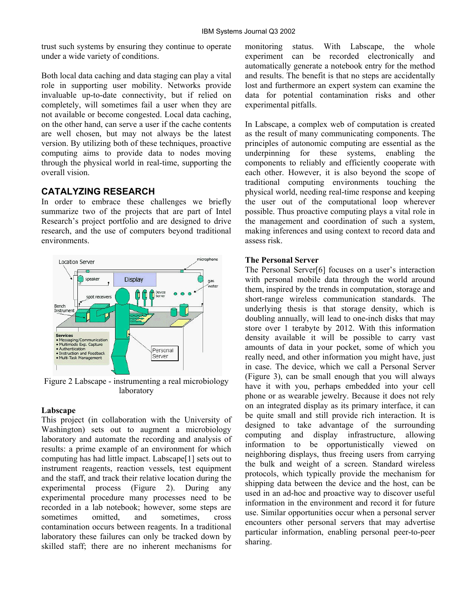trust such systems by ensuring they continue to operate under a wide variety of conditions.

Both local data caching and data staging can play a vital role in supporting user mobility. Networks provide invaluable up-to-date connectivity, but if relied on completely, will sometimes fail a user when they are not available or become congested. Local data caching, on the other hand, can serve a user if the cache contents are well chosen, but may not always be the latest version. By utilizing both of these techniques, proactive computing aims to provide data to nodes moving through the physical world in real-time, supporting the overall vision.

# **CATALYZING RESEARCH**

In order to embrace these challenges we briefly summarize two of the projects that are part of Intel Research's project portfolio and are designed to drive research, and the use of computers beyond traditional environments.



Figure 2 Labscape - instrumenting a real microbiology laboratory

#### **Labscape**

This project (in collaboration with the University of Washington) sets out to augment a microbiology laboratory and automate the recording and analysis of results: a prime example of an environment for which computing has had little impact. Labscape[1] sets out to instrument reagents, reaction vessels, test equipment and the staff, and track their relative location during the experimental process (Figure 2). During any experimental procedure many processes need to be recorded in a lab notebook; however, some steps are sometimes omitted and sometimes cross contamination occurs between reagents. In a traditional laboratory these failures can only be tracked down by skilled staff; there are no inherent mechanisms for monitoring status. With Labscape, the whole experiment can be recorded electronically and automatically generate a notebook entry for the method and results. The benefit is that no steps are accidentally lost and furthermore an expert system can examine the data for potential contamination risks and other experimental pitfalls.

In Labscape, a complex web of computation is created as the result of many communicating components. The principles of autonomic computing are essential as the underpinning for these systems, enabling the components to reliably and efficiently cooperate with each other. However, it is also beyond the scope of traditional computing environments touching the physical world, needing real-time response and keeping the user out of the computational loop wherever possible. Thus proactive computing plays a vital role in the management and coordination of such a system, making inferences and using context to record data and assess risk.

#### **The Personal Server**

The Personal Server[6] focuses on a user's interaction with personal mobile data through the world around them, inspired by the trends in computation, storage and short-range wireless communication standards. The underlying thesis is that storage density, which is doubling annually, will lead to one-inch disks that may store over 1 terabyte by 2012. With this information density available it will be possible to carry vast amounts of data in your pocket, some of which you really need, and other information you might have, just in case. The device, which we call a Personal Server (Figure 3), can be small enough that you will always have it with you, perhaps embedded into your cell phone or as wearable jewelry. Because it does not rely on an integrated display as its primary interface, it can be quite small and still provide rich interaction. It is designed to take advantage of the surrounding computing and display infrastructure, allowing information to be opportunistically viewed on neighboring displays, thus freeing users from carrying the bulk and weight of a screen. Standard wireless protocols, which typically provide the mechanism for shipping data between the device and the host, can be used in an ad-hoc and proactive way to discover useful information in the environment and record it for future use. Similar opportunities occur when a personal server encounters other personal servers that may advertise particular information, enabling personal peer-to-peer sharing.